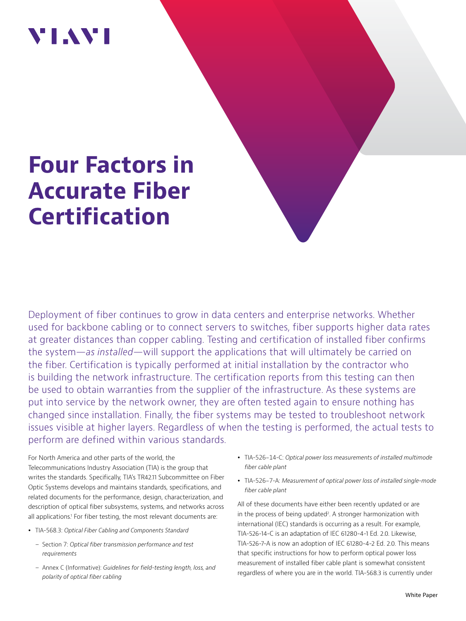## VI.WI

# **Four Factors in Accurate Fiber Certification**

Deployment of fiber continues to grow in data centers and enterprise networks. Whether used for backbone cabling or to connect servers to switches, fiber supports higher data rates at greater distances than copper cabling. Testing and certification of installed fiber confirms the system—*as installed*—will support the applications that will ultimately be carried on the fiber. Certification is typically performed at initial installation by the contractor who is building the network infrastructure. The certification reports from this testing can then be used to obtain warranties from the supplier of the infrastructure. As these systems are put into service by the network owner, they are often tested again to ensure nothing has changed since installation. Finally, the fiber systems may be tested to troubleshoot network issues visible at higher layers. Regardless of when the testing is performed, the actual tests to perform are defined within various standards.

For North America and other parts of the world, the Telecommunications Industry Association (TIA) is the group that writes the standards. Specifically, TIA's TR42.11 Subcommittee on Fiber Optic Systems develops and maintains standards, specifications, and related documents for the performance, design, characterization, and description of optical fiber subsystems, systems, and networks across all applications.<sup>1</sup> For fiber testing, the most relevant documents are:

- y TIA-568.3: *Optical Fiber Cabling and Components Standard*
	- Section 7: *Optical fiber transmission performance and test requirements*
	- Annex C (Informative): *Guidelines for field-testing length, loss, and polarity of optical fiber cabling*
- y TIA-526-14-C: *Optical power loss measurements of installed multimode fiber cable plant*
- y TIA-526-7-A: *Measurement of optical power loss of installed single-mode fiber cable plant*

All of these documents have either been recently updated or are in the process of being updated<sup>2</sup>. A stronger harmonization with international (IEC) standards is occurring as a result. For example, TIA-526-14-C is an adaptation of IEC 61280-4-1 Ed. 2.0. Likewise, TIA-526-7-A is now an adoption of IEC 61280-4-2 Ed. 2.0. This means that specific instructions for how to perform optical power loss measurement of installed fiber cable plant is somewhat consistent regardless of where you are in the world. TIA-568.3 is currently under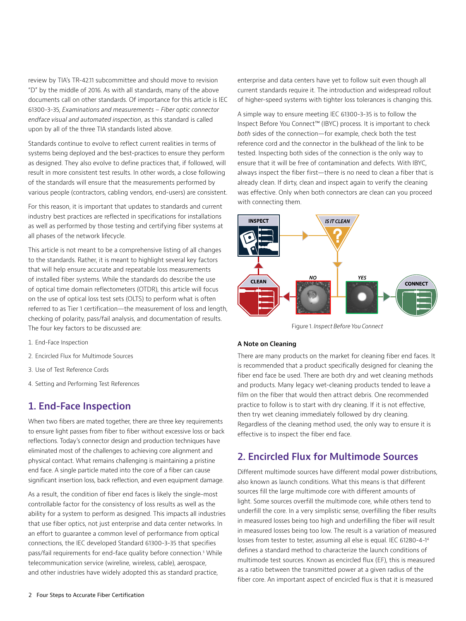review by TIA's TR-42.11 subcommittee and should move to revision "D" by the middle of 2016. As with all standards, many of the above documents call on other standards. Of importance for this article is IEC 61300-3-35, *Examinations and measurements – Fiber optic connector endface visual and automated inspection*, as this standard is called upon by all of the three TIA standards listed above.

Standards continue to evolve to reflect current realities in terms of systems being deployed and the best-practices to ensure they perform as designed. They also evolve to define practices that, if followed, will result in more consistent test results. In other words, a close following of the standards will ensure that the measurements performed by various people (contractors, cabling vendors, end-users) are consistent.

For this reason, it is important that updates to standards and current industry best practices are reflected in specifications for installations as well as performed by those testing and certifying fiber systems at all phases of the network lifecycle.

This article is not meant to be a comprehensive listing of all changes to the standards. Rather, it is meant to highlight several key factors that will help ensure accurate and repeatable loss measurements of installed fiber systems. While the standards do describe the use of optical time domain reflectometers (OTDR), this article will focus on the use of optical loss test sets (OLTS) to perform what is often referred to as Tier 1 certification—the measurement of loss and length, checking of polarity, pass/fail analysis, and documentation of results. The four key factors to be discussed are:

- 1. End-Face Inspection
- 2. Encircled Flux for Multimode Sources
- 3. Use of Test Reference Cords
- 4. Setting and Performing Test References

## **1. End-Face Inspection**

When two fibers are mated together, there are three key requirements to ensure light passes from fiber to fiber without excessive loss or back reflections. Today's connector design and production techniques have eliminated most of the challenges to achieving core alignment and physical contact. What remains challenging is maintaining a pristine end face. A single particle mated into the core of a fiber can cause significant insertion loss, back reflection, and even equipment damage.

As a result, the condition of fiber end faces is likely the single-most controllable factor for the consistency of loss results as well as the ability for a system to perform as designed. This impacts all industries that use fiber optics, not just enterprise and data center networks. In an effort to guarantee a common level of performance from optical connections, the IEC developed Standard 61300-3-35 that specifies pass/fail requirements for end-face quality before connection.3 While telecommunication service (wireline, wireless, cable), aerospace, and other industries have widely adopted this as standard practice,

enterprise and data centers have yet to follow suit even though all current standards require it. The introduction and widespread rollout of higher-speed systems with tighter loss tolerances is changing this.

A simple way to ensure meeting IEC 61300-3-35 is to follow the Inspect Before You Connect™ (IBYC) process. It is important to check *both* sides of the connection—for example, check both the test reference cord and the connector in the bulkhead of the link to be tested. Inspecting both sides of the connection is the only way to ensure that it will be free of contamination and defects. With IBYC, always inspect the fiber first—there is no need to clean a fiber that is already clean. If dirty, clean and inspect again to verify the cleaning was effective. Only when both connectors are clean can you proceed with connecting them.



Figure 1. *Inspect Before You Connect*

#### **A Note on Cleaning**

There are many products on the market for cleaning fiber end faces. It is recommended that a product specifically designed for cleaning the fiber end face be used. There are both dry and wet cleaning methods and products. Many legacy wet-cleaning products tended to leave a film on the fiber that would then attract debris. One recommended practice to follow is to start with dry cleaning. If it is not effective, then try wet cleaning immediately followed by dry cleaning. Regardless of the cleaning method used, the only way to ensure it is effective is to inspect the fiber end face.

## **2. Encircled Flux for Multimode Sources**

Different multimode sources have different modal power distributions, also known as launch conditions. What this means is that different sources fill the large multimode core with different amounts of light. Some sources overfill the multimode core, while others tend to underfill the core. In a very simplistic sense, overfilling the fiber results in measured losses being too high and underfilling the fiber will result in measured losses being too low. The result is a variation of measured losses from tester to tester, assuming all else is equal. IEC 61280-4-14 defines a standard method to characterize the launch conditions of multimode test sources. Known as encircled flux (EF), this is measured as a ratio between the transmitted power at a given radius of the fiber core. An important aspect of encircled flux is that it is measured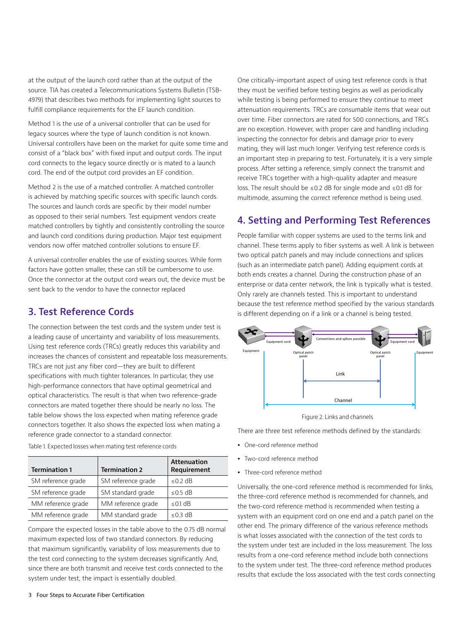at the output of the launch cord rather than at the output of the source. TIA has created a Telecommunications Systems Bulletin (TSB-4979) that describes two methods for implementing light sources to fulfill compliance requirements for the EF launch condition.

Method 1 is the use of a universal controller that can be used for legacy sources where the type of launch condition is not known. Universal controllers have been on the market for quite some time and consist of a "black box" with fixed input and output cords. The input cord connects to the legacy source directly or is mated to a launch cord. The end of the output cord provides an EF condition.

Method 2 is the use of a matched controller. A matched controller is achieved by matching specific sources with specific launch cords. The sources and launch cords are specific by their model number as opposed to their serial numbers. Test equipment vendors create matched controllers by tightly and consistently controlling the source and launch cord conditions during production. Major test equipment vendors now offer matched controller solutions to ensure EF.

A universal controller enables the use of existing sources. While form factors have gotten smaller, these can still be cumbersome to use. Once the connector at the output cord wears out, the device must be sent back to the vendor to have the connector replaced

### **3. Test Reference Cords**

The connection between the test cords and the system under test is a leading cause of uncertainty and variability of loss measurements. Using test reference cords (TRCs) greatly reduces this variability and increases the chances of consistent and repeatable loss measurements. TRCs are not just any fiber cord—they are built to different specifications with much tighter tolerances. In particular, they use high-performance connectors that have optimal geometrical and optical characteristics. The result is that when two reference-grade connectors are mated together there should be nearly no loss. The table below shows the loss expected when mating reference grade connectors together. It also shows the expected loss when mating a reference grade connector to a standard connector.

| <b>Termination 1</b> | <b>Termination 2</b> | <b>Attenuation</b><br>Requirement |
|----------------------|----------------------|-----------------------------------|
| SM reference grade   | SM reference grade   | $\leq$ 0.2 dB                     |
| SM reference grade   | SM standard grade    | $\leq$ 0.5 dB                     |
| MM reference grade   | MM reference grade   | $\leq$ 0.1 dB                     |
| MM reference grade   | MM standard grade    | $\leq$ 0.3 dB                     |

Table 1. Expected losses when mating test reference cords

Compare the expected losses in the table above to the 0.75 dB normal maximum expected loss of two standard connectors. By reducing that maximum significantly, variability of loss measurements due to the test cord connecting to the system decreases significantly. And, since there are both transmit and receive test cords connected to the system under test, the impact is essentially doubled.

One critically-important aspect of using test reference cords is that they must be verified before testing begins as well as periodically while testing is being performed to ensure they continue to meet attenuation requirements. TRCs are consumable items that wear out over time. Fiber connectors are rated for 500 connections, and TRCs are no exception. However, with proper care and handling including inspecting the connector for debris and damage prior to every mating, they will last much longer. Verifying test reference cords is an important step in preparing to test. Fortunately, it is a very simple process. After setting a reference, simply connect the transmit and receive TRCs together with a high-quality adapter and measure loss. The result should be ≤0.2 dB for single mode and ≤0.1 dB for multimode, assuming the correct reference method is being used.

## **4. Setting and Performing Test References**

People familiar with copper systems are used to the terms link and channel. These terms apply to fiber systems as well. A link is between two optical patch panels and may include connections and splices (such as an intermediate patch panel). Adding equipment cords at both ends creates a channel. During the construction phase of an enterprise or data center network, the link is typically what is tested. Only rarely are channels tested. This is important to understand because the test reference method specified by the various standards is different depending on if a link or a channel is being tested.



Figure 2. Links and channels

There are three test reference methods defined by the standards:

- One-cord reference method
- Two-cord reference method
- Three-cord reference method

Universally, the one-cord reference method is recommended for links, the three-cord reference method is recommended for channels, and the two-cord reference method is recommended when testing a system with an equipment cord on one end and a patch panel on the other end. The primary difference of the various reference methods is what losses associated with the connection of the test cords to the system under test are included in the loss measurement. The loss results from a one-cord reference method include both connections to the system under test. The three-cord reference method produces results that exclude the loss associated with the test cords connecting